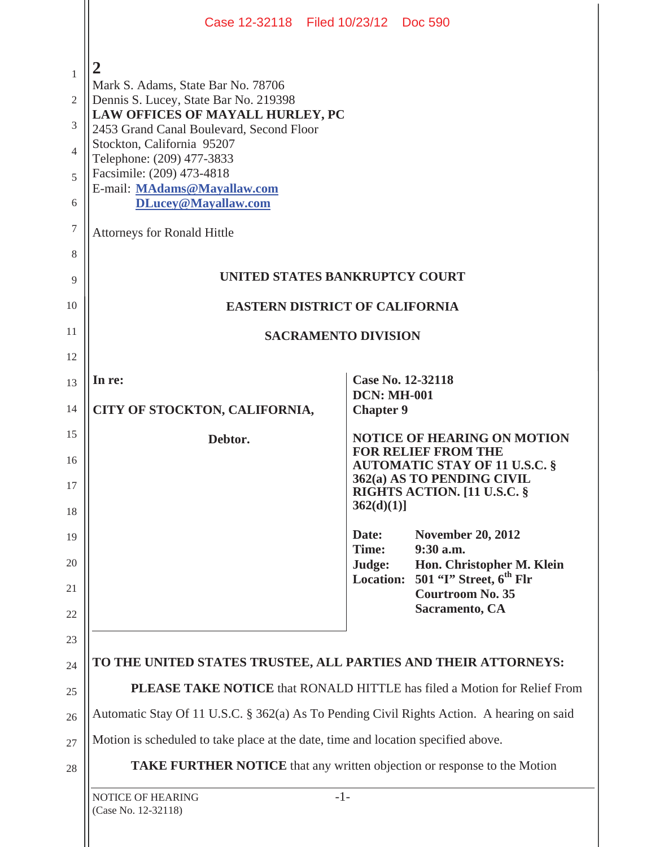|                                 | Case 12-32118 Filed 10/23/12 Doc 590                                                                                                                                                                                                                                                                                                            |                                         |                                                                                                          |
|---------------------------------|-------------------------------------------------------------------------------------------------------------------------------------------------------------------------------------------------------------------------------------------------------------------------------------------------------------------------------------------------|-----------------------------------------|----------------------------------------------------------------------------------------------------------|
| 1<br>2<br>3<br>4<br>5<br>6<br>7 | Mark S. Adams, State Bar No. 78706<br>Dennis S. Lucey, State Bar No. 219398<br>LAW OFFICES OF MAYALL HURLEY, PC<br>2453 Grand Canal Boulevard, Second Floor<br>Stockton, California 95207<br>Telephone: (209) 477-3833<br>Facsimile: (209) 473-4818<br>E-mail: MAdams@Mayallaw.com<br>DLucey@Mayallaw.com<br><b>Attorneys for Ronald Hittle</b> |                                         |                                                                                                          |
| 8                               |                                                                                                                                                                                                                                                                                                                                                 |                                         |                                                                                                          |
| 9                               | UNITED STATES BANKRUPTCY COURT                                                                                                                                                                                                                                                                                                                  |                                         |                                                                                                          |
| 10                              | <b>EASTERN DISTRICT OF CALIFORNIA</b>                                                                                                                                                                                                                                                                                                           |                                         |                                                                                                          |
| 11                              |                                                                                                                                                                                                                                                                                                                                                 | <b>SACRAMENTO DIVISION</b>              |                                                                                                          |
| 12                              |                                                                                                                                                                                                                                                                                                                                                 |                                         |                                                                                                          |
| 13                              | In re:                                                                                                                                                                                                                                                                                                                                          | Case No. 12-32118<br><b>DCN: MH-001</b> |                                                                                                          |
| 14                              | CITY OF STOCKTON, CALIFORNIA,                                                                                                                                                                                                                                                                                                                   | <b>Chapter 9</b>                        |                                                                                                          |
| 15<br>16                        | Debtor.                                                                                                                                                                                                                                                                                                                                         |                                         | <b>NOTICE OF HEARING ON MOTION</b><br><b>FOR RELIEF FROM THE</b>                                         |
| 17                              |                                                                                                                                                                                                                                                                                                                                                 |                                         | <b>AUTOMATIC STAY OF 11 U.S.C. §</b><br>362(a) AS TO PENDING CIVIL<br><b>RIGHTS ACTION. [11 U.S.C. §</b> |
| 18                              |                                                                                                                                                                                                                                                                                                                                                 | 362(d)(1)]                              |                                                                                                          |
| 19                              |                                                                                                                                                                                                                                                                                                                                                 |                                         | <b>November 20, 2012</b>                                                                                 |
|                                 |                                                                                                                                                                                                                                                                                                                                                 | Date:                                   |                                                                                                          |
| 20                              |                                                                                                                                                                                                                                                                                                                                                 | Time:<br>Judge:                         | 9:30 a.m.<br>Hon. Christopher M. Klein                                                                   |
| 21                              |                                                                                                                                                                                                                                                                                                                                                 | <b>Location:</b>                        | 501 "I" Street, $6^{th}$ Flr<br><b>Courtroom No. 35</b>                                                  |
| 22                              |                                                                                                                                                                                                                                                                                                                                                 |                                         | Sacramento, CA                                                                                           |
| 23                              |                                                                                                                                                                                                                                                                                                                                                 |                                         |                                                                                                          |
| 24                              | TO THE UNITED STATES TRUSTEE, ALL PARTIES AND THEIR ATTORNEYS:                                                                                                                                                                                                                                                                                  |                                         |                                                                                                          |
| 25                              | PLEASE TAKE NOTICE that RONALD HITTLE has filed a Motion for Relief From                                                                                                                                                                                                                                                                        |                                         |                                                                                                          |
| 26                              | Automatic Stay Of 11 U.S.C. § 362(a) As To Pending Civil Rights Action. A hearing on said                                                                                                                                                                                                                                                       |                                         |                                                                                                          |
| 27                              | Motion is scheduled to take place at the date, time and location specified above.                                                                                                                                                                                                                                                               |                                         |                                                                                                          |
| 28                              | TAKE FURTHER NOTICE that any written objection or response to the Motion                                                                                                                                                                                                                                                                        |                                         |                                                                                                          |
|                                 | NOTICE OF HEARING<br>(Case No. 12-32118)                                                                                                                                                                                                                                                                                                        | $-1-$                                   |                                                                                                          |